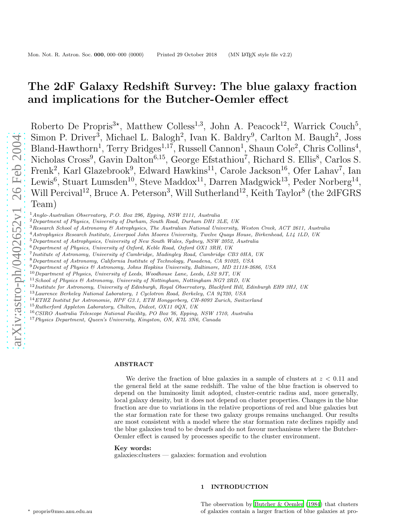# The 2dF Galaxy Redshift Survey: The blue galaxy fraction and implications for the Butcher-Oemler effect

Roberto De Propris<sup>3\*</sup>, Matthew Colless<sup>1,3</sup>, John A. Peacock<sup>12</sup>, Warrick Couch<sup>5</sup>, Simon P. Driver<sup>3</sup>, Michael L. Balogh<sup>2</sup>, Ivan K. Baldry<sup>9</sup>, Carlton M. Baugh<sup>2</sup>, Joss Bland-Hawthorn<sup>1</sup>, Terry Bridges<sup>1,17</sup>, Russell Cannon<sup>1</sup>, Shaun Cole<sup>2</sup>, Chris Collins<sup>4</sup>, Nicholas Cross<sup>9</sup>, Gavin Dalton<sup>6,15</sup>, George Efstathiou<sup>7</sup>, Richard S. Ellis<sup>8</sup>, Carlos S. Frenk<sup>2</sup>, Karl Glazebrook<sup>9</sup>, Edward Hawkins<sup>11</sup>, Carole Jackson<sup>16</sup>, Ofer Lahav<sup>7</sup>, Ian Lewis<sup>6</sup>, Stuart Lumsden<sup>10</sup>, Steve Maddox<sup>11</sup>, Darren Madgwick<sup>13</sup>, Peder Norberg<sup>14</sup>, Will Percival<sup>12</sup>, Bruce A. Peterson<sup>3</sup>, Will Sutherland<sup>12</sup>, Keith Taylor<sup>8</sup> (the 2dFGRS Team)

<sup>1</sup> Anglo-Australian Observatory, P.O. Box 296, Epping, NSW 2111, Australia<br>
<sup>2</sup> Department of Physics, University of Durham, South Road, Durham DH1 3LE, UK<br>
<sup>3</sup> Research School of Astronomy & Astrophysics, The Australian

- 
- 
- Institute of Astronomy, University of Cambridge, Madingley Road, Cambridge CB3 0HA, UK
- <sup>8</sup>Department of Astronomy, California Institute of Technology, Pasadena, CA 91025, USA 9Department of Physics & Astronomy, Johns Hopkins University, Baltimore, MD 21118-2686, USA
- 
- $^{10}$  Department of Physics, University of Leeds, Woodhouse Lane, Leeds, LS2 9JT, UK
- $11$  School of Physics & Astronomy, University of Nottingham, Nottingham NG7 2RD, UK
- $12$ Institute for Astronomy, University of Edinburgh, Royal Observatory, Blackford Hill, Edinburgh EH9 3HJ, UK
- <sup>13</sup>Lawrence Berkeley National Laboratory, 1 Cyclotron Road, Berkeley, CA 94720, USA
- <sup>14</sup>ETHZ Institut fur Astronomie, HPF G3.1, ETH Honggerberg, CH-8093 Zurich, Switzerland
- <sup>15</sup>Rutherford Appleton Laboratory, Chilton, Didcot, OX11 0QX, UK
- <sup>16</sup>CSIRO Australia Telescope National Facility, PO Box 76, Epping, NSW 1710, Australia

<sup>17</sup> Physics Department, Queen's University, Kingston, ON, K7L 3N6, Canada

#### ABSTRACT

We derive the fraction of blue galaxies in a sample of clusters at  $z < 0.11$  and the general field at the same redshift. The value of the blue fraction is observed to depend on the luminosity limit adopted, cluster-centric radius and, more generally, local galaxy density, but it does not depend on cluster properties. Changes in the blue fraction are due to variations in the relative proportions of red and blue galaxies but the star formation rate for these two galaxy groups remains unchanged. Our results are most consistent with a model where the star formation rate declines rapidly and the blue galaxies tend to be dwarfs and do not favour mechanisms where the Butcher-Oemler effect is caused by processes specific to the cluster environment.

## Key words:

galaxies:clusters — galaxies: formation and evolution

# 1 INTRODUCTION

The observation by [Butcher & Oemler \(1984](#page-8-0)) that clusters of galaxies contain a larger fraction of blue galaxies at pro -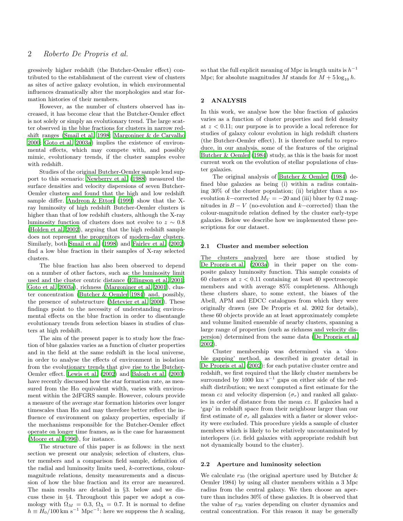gressively higher redshift (the Butcher-Oemler effect) contributed to the establishment of the current view of clusters as sites of active galaxy evolution, in which environmental influences dramatically alter the morphologies and star formation histories of their members.

However, as the number of clusters observed has increased, it has become clear that the Butcher-Oemler effect is not solely or simply an evolutionary trend. The large scatter observed in the blue fractions for clusters in narrow redshift ranges [\(Smail et al. 1998](#page-8-1); [Margoniner & de Carvalho](#page-8-2) [2000](#page-8-2); [Goto et al. 2003a](#page-8-3)) implies the existence of environmental effects, which may compete with, and possibly mimic, evolutionary trends, if the cluster samples evolve with redshift.

Studies of the original Butcher-Oemler sample lend support to this scenario: [Newberry et al. \(1988\)](#page-8-4) measured the surface densities and velocity dispersions of seven Butcher-Oemler clusters and found that the high and low redshift sample differ. Andreon  $&$  Ettori (1999) show that the Xray luminosity of high redshift Butcher-Oemler clusters is higher than that of low redshift clusters, although the X-ray luminosity function of clusters does not evolve to  $z \sim 0.8$ [\(Holden et al. 2002](#page-8-5)), arguing that the high redshift sample does not represent the progenitors of modern-day clusters. Similarly, both [Smail et al. \(1998](#page-8-1)) and [Fairley et al. \(2002](#page-8-6)) find a low blue fraction in their samples of X-ray selected clusters.

The blue fraction has also been observed to depend on a number of other factors, such as: the luminosity limit used and the cluster centric distance [\(Ellingson et al. 2001;](#page-8-7) [Goto et al. 2003a](#page-8-3)), richness [\(Margoniner et al. 2001\)](#page-8-8), cluster concentration [\(Butcher & Oemler 1984](#page-8-0)) and, possibly, the presence of substructure [\(Metevier et al. 2000](#page-8-9)). These findings point to the necessity of understanding environmental effects on the blue fraction in order to disentangle evolutionary trends from selection biases in studies of clusters at high redshift.

The aim of the present paper is to study how the fraction of blue galaxies varies as a function of cluster properties and in the field at the same redshift in the local universe, in order to analyse the effects of environment in isolation from the evolutionary trends that give rise to the Butcher-Oemler effect. [Lewis et al. \(2002](#page-8-10)) and [Balogh et al. \(2003](#page-7-1)) have recently discussed how the star formation rate, as measured from the H $\alpha$  equivalent width, varies with environment within the 2dFGRS sample. However, colours provide a measure of the average star formation histories over longer timescales than  $H\alpha$  and may therefore better reflect the influence of environment on galaxy properties, especially if the mechanisms responsible for the Butcher-Oemler effect operate on longer time frames, as is the case for harassment [\(Moore et al. 1996](#page-8-11)), for instance.

The structure of this paper is as follows: in the next section we present our analysis; selection of clusters, cluster members and a comparison field sample, definition of the radial and luminosity limits used, k-corrections, colourmagnitude relations, density measurements and a discussion of how the blue fraction and its error are measured. The main results are detailed in §3. below and we discuss these in §4. Throughout this paper we adopt a cosmology with  $\Omega_M = 0.3$ ,  $\Omega_{\Lambda} = 0.7$ . It is normal to define  $h \equiv H_0/100 \text{ km s}^{-1} \text{ Mpc}^{-1}$ : here we suppress the h scaling,

so that the full explicit meaning of Mpc in length units is  $h^{-1}$ Mpc; for absolute magnitudes M stands for  $M + 5 \log_{10} h$ .

## 2 ANALYSIS

In this work, we analyse how the blue fraction of galaxies varies as a function of cluster properties and field density at  $z < 0.11$ ; our purpose is to provide a local reference for studies of galaxy colour evolution in high redshift clusters (the Butcher-Oemler effect). It is therefore useful to reproduce, in our analysis, some of the features of the original [Butcher & Oemler \(1984](#page-8-0)) study, as this is the basis for most current work on the evolution of stellar populations of cluster galaxies.

The original analysis of [Butcher & Oemler \(1984](#page-8-0)) defined blue galaxies as being (i) within a radius containing 30% of the cluster population; (ii) brighter than a noevolution k–corrected  $M_V = -20$  and (iii) bluer by 0.2 magnitudes in  $B - V$  (no-evolution and k–corrected) than the colour-magnitude relation defined by the cluster early-type galaxies. Below we describe how we implemented these prescriptions for our dataset.

#### 2.1 Cluster and member selection

The clusters analyzed here are those studied by [De Propris et al. \(2003a](#page-8-12)) in their paper on the composite galaxy luminosity function. This sample consists of 60 clusters at  $z < 0.11$  containing at least 40 spectroscopic members and with average 85% completeness. Although these clusters share, to some extent, the biases of the Abell, APM and EDCC catalogues from which they were originally drawn (see De Propris et al. 2002 for details), these 60 objects provide an at least approximately complete and volume limited ensemble of nearby clusters, spanning a large range of properties (such as richness and velocity dispersion) determined from the same data [\(De Propris et al.](#page-8-13) [2002](#page-8-13)).

Cluster membership was determined via a 'double gapping' method, as described in greater detail in [De Propris et al. \(2002](#page-8-13)): for each putative cluster centre and redshift, we first required that the likely cluster members be surrounded by 1000 km s<sup>-1</sup> gaps on either side of the redshift distribution; we next computed a first estimate for the mean cz and velocity dispersion  $(\sigma_r)$  and ranked all galaxies in order of distance from the mean cz. If galaxies had a 'gap' in redshift space from their neighbour larger than our first estimate of  $\sigma_r$  all galaxies with a faster or slower velocity were excluded. This procedure yields a sample of cluster members which is likely to be relatively uncontaminated by interlopers (i.e. field galaxies with appropriate redshift but not dynamically bound to the cluster).

### 2.2 Aperture and luminosity selection

We calculate  $r_{30}$  (the original aperture used by Butcher & Oemler 1984) by using all cluster members within a 3 Mpc radius from the central galaxy. We then choose an aperture than includes 30% of these galaxies. It is observed that the value of  $r_{30}$  varies depending on cluster dynamics and central concentration. For this reason it may be generally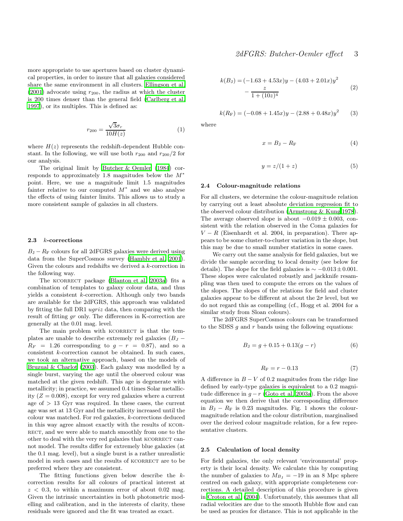more appropriate to use apertures based on cluster dynamical properties, in order to insure that all galaxies considered share the same environment in all clusters. [Ellingson et al.](#page-8-7)  $(2001)$  $(2001)$  advocate using  $r_{200}$ , the radius at which the cluster is 200 times denser than the general field [\(Carlberg et al.](#page-8-14) [1997](#page-8-14)), or its multiples. This is defined as:

$$
r_{200} = \frac{\sqrt{3}\sigma_r}{10H(z)}\tag{1}
$$

where  $H(z)$  represents the redshift-dependent Hubble constant. In the following, we will use both  $r_{200}$  and  $r_{200}/2$  for our analysis.

The original limit by [Butcher & Oemler \(1984](#page-8-0)) corresponds to approximately 1.8 magnitudes below the M<sup>∗</sup> point. Here, we use a magnitude limit 1.5 magnitudes fainter relative to our computed  $M^*$  and we also analyse the effects of using fainter limits. This allows us to study a more consistent sample of galaxies in all clusters.

#### 2.3 k-corrections

 $B_{\rm J} - R_{\rm F}$  colours for all 2dFGRS galaxies were derived using data from the SuperCosmos survey [\(Hambly et al. 2001](#page-8-15)). Given the colours and redshifts we derived a k-correction in the following way.

The KCORRECT package [\(Blanton et al. 2003a](#page-8-16)) fits a combination of templates to galaxy colour data, and thus yields a consistent k-correction. Although only two bands are available for the 2dFGRS, this approach was validated by fitting the full DR1 ugriz data, then comparing with the result of fitting gr only. The differences in K-correction are generally at the 0.01 mag. level.

The main problem with KCORRECT is that the templates are unable to describe extremely red galaxies  $(B<sub>J</sub> R_F = 1.26$  corresponding to  $g - r = 0.87$ , and so a consistent k-correction cannot be obtained. In such cases, we took an alternative approach, based on the models of [Bruzual & Charlot \(2003](#page-8-17)). Each galaxy was modelled by a single burst, varying the age until the observed colour was matched at the given redshift. This age is degenerate with metallicity; in practice, we assumed 0.4 times Solar metallicity  $(Z = 0.008)$ , except for very red galaxies where a current age of  $> 13$  Gyr was required. In these cases, the current age was set at 13 Gyr and the metallicity increased until the colour was matched. For red galaxies, k-corrections deduced in this way agree almost exactly with the results of kcorrect, and we were able to match smoothly from one to the other to deal with the very red galaxies that KCORRECT cannot model. The results differ for extremely blue galaxies (at the 0.1 mag. level), but a single burst is a rather unrealistic model in such cases and the results of KCORRECT are to be preferred where they are consistent.

The fitting functions given below describe the kcorrection results for all colours of practical interest at  $z < 0.3$ , to within a maximum error of about 0.02 mag. Given the intrinsic uncertainties in both photometric modelling and calibration, and in the interests of clarity, these residuals were ignored and the fit was treated as exact.

$$
k(BJ) = (-1.63 + 4.53x)y - (4.03 + 2.01x)y2 - \frac{z}{1 + (10z)^{4}}
$$
 (2)

$$
k(R_{\rm F}) = (-0.08 + 1.45x)y - (2.88 + 0.48x)y^{2}
$$
 (3)

where

$$
x = B_{\rm J} - R_{\rm F} \tag{4}
$$

$$
y = z/(1+z) \tag{5}
$$

#### 2.4 Colour-magnitude relations

For all clusters, we determine the colour-magnitude relation by carrying out a least absolute deviation regression fit to the observed colour distribution [\(Armstrong & Kung 1978](#page-7-2)). The average observed slope is about  $-0.019 \pm 0.003$ , consistent with the relation observed in the Coma galaxies for  $V - R$  (Eisenhardt et al. 2004, in preparation). There appears to be some cluster-to-cluster variation in the slope, but this may be due to small number statistics in some cases.

We carry out the same analysis for field galaxies, but we divide the sample according to local density (see below for details). The slope for the field galaxies is  $\sim -0.013 \pm 0.001$ . These slopes were calculated robustly and jackknife resampling was then used to compute the errors on the values of the slopes. The slopes of the relations for field and cluster galaxies appear to be different at about the  $2\sigma$  level, but we do not regard this as compelling (cf., Hogg et al. 2004 for a similar study from Sloan colours).

The 2dFGRS SuperCosmos colours can be transformed to the SDSS  $q$  and  $r$  bands using the following equations:

$$
B_{\rm J} = g + 0.15 + 0.13(g - r) \tag{6}
$$

$$
R_{\rm F} = r - 0.13\tag{7}
$$

A difference in  $B - V$  of 0.2 magnitudes from the ridge line defined by early-type galaxies is equivalent to a 0.2 magnitude difference in  $g - r$  [\(Goto et al. 2003a](#page-8-3)). From the above equation we then derive that the corresponding difference in  $B_J - R_F$  is 0.23 magnitudes. Fig. 1 shows the colourmagnitude relation and the colour distribution, marginalised over the derived colour magnitude relation, for a few representative clusters.

#### 2.5 Calculation of local density

For field galaxies, the only relevant 'environmental' property is their local density. We calculate this by computing the number of galaxies to  $M_{B_1} = -19$  in an 8 Mpc sphere centred on each galaxy, with appropriate completeness corrections. A detailed description of this procedure is given in [Croton et al. \(2004](#page-8-18)). Unfortunately, this assumes that all radial velocities are due to the smooth Hubble flow and can be used as proxies for distance. This is not applicable in the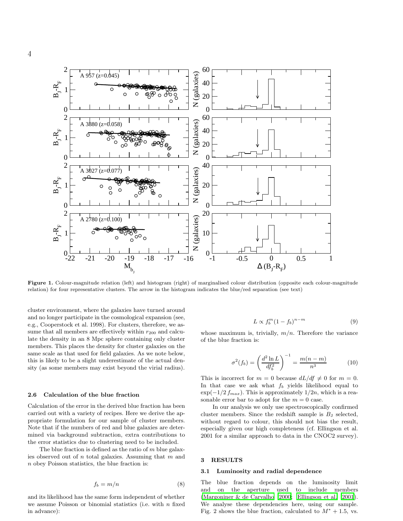

Figure 1. Colour-magnitude relation (left) and histogram (right) of marginalised colour distribution (opposite each colour-magnitude relation) for four representative clusters. The arrow in the histogram indicates the blue/red separation (see text)

cluster environment, where the galaxies have turned around and no longer participate in the cosmological expansion (see, e.g., Cooperstock et al. 1998). For clusters, therefore, we assume that all members are effectively within  $r_{200}$  and calculate the density in an 8 Mpc sphere containing only cluster members. This places the density for cluster galaxies on the same scale as that used for field galaxies. As we note below, this is likely to be a slight underestimate of the actual density (as some members may exist beyond the virial radius).

## 2.6 Calculation of the blue fraction

Calculation of the error in the derived blue fraction has been carried out with a variety of recipes. Here we derive the appropriate formulation for our sample of cluster members. Note that if the numbers of red and blue galaxies are determined via background subtraction, extra contributions to the error statistics due to clustering need to be included.

The blue fraction is defined as the ratio of  $m$  blue galaxies observed out of  $n$  total galaxies. Assuming that  $m$  and n obey Poisson statistics, the blue fraction is:

$$
f_b = m/n \tag{8}
$$

and its likelihood has the same form independent of whether we assume Poisson or binomial statistics (i.e. with  $n$  fixed in advance):

$$
L \propto f_b^m (1 - f_b)^{n - m} \tag{9}
$$

whose maximum is, trivially,  $m/n$ . Therefore the variance of the blue fraction is:

$$
\sigma^{2}(f_{b}) = \left(\frac{d^{2} \ln L}{df_{b}^{2}}\right)^{-1} = \frac{m(n-m)}{n^{3}} \tag{10}
$$

This is incorrect for  $m = 0$  because  $dL/df \neq 0$  for  $m = 0$ . In that case we ask what  $f_b$  yields likelihood equal to  $\exp(-1/2 f_{max})$ . This is approximately  $1/2n$ , which is a reasonable error bar to adopt for the  $m = 0$  case.

In our analysis we only use spectroscopically confirmed cluster members. Since the redshift sample is  $B_J$  selected, without regard to colour, this should not bias the result, especially given our high completeness (cf. Ellingson et al. 2001 for a similar approach to data in the CNOC2 survey).

#### 3 RESULTS

## 3.1 Luminosity and radial dependence

The blue fraction depends on the luminosity limit and on the aperture used to include members [\(Margoniner & de Carvalho 2000](#page-8-2); [Ellingson et al. 2001](#page-8-7)). We analyse these dependencies here, using our sample. Fig. 2 shows the blue fraction, calculated to  $M^* + 1.5$ , vs.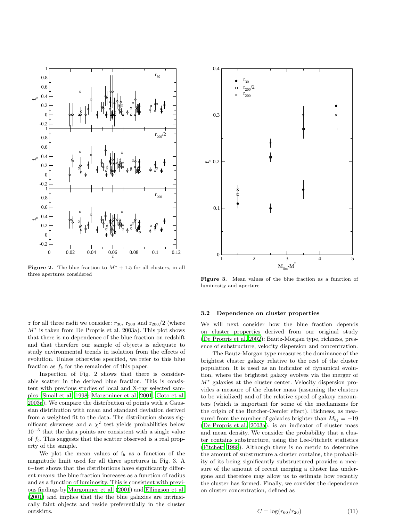

Figure 2. The blue fraction to  $M^* + 1.5$  for all clusters, in all three apertures considered

z for all three radii we consider:  $r_{30}$ ,  $r_{200}$  and  $r_{200}/2$  (where M<sup>∗</sup> is taken from De Propris et al. 2003a). This plot shows that there is no dependence of the blue fraction on redshift and that therefore our sample of objects is adequate to study environmental trends in isolation from the effects of evolution. Unless otherwise specified, we refer to this blue fraction as  $f_b$  for the remainder of this paper.

Inspection of Fig. 2 shows that there is considerable scatter in the derived blue fraction. This is consistent with previous studies of local and X-ray selected samples [\(Smail et al. 1998](#page-8-1); [Margoniner et al. 2001](#page-8-8); [Goto et al.](#page-8-3) [2003a](#page-8-3)). We compare the distribution of points with a Gaussian distribution with mean and standard deviation derived from a weighted fit to the data. The distribution shows significant skewness and a  $\chi^2$  test yields probabilities below 10<sup>−</sup><sup>3</sup> that the data points are consistent with a single value of  $f<sub>b</sub>$ . This suggests that the scatter observed is a real property of the sample.

We plot the mean values of  $f_b$  as a function of the magnitude limit used for all three apertures in Fig. 3. A t−test shows that the distributions have significantly different means: the blue fraction increases as a function of radius and as a function of luminosity. This is consistent with previous findings by [Margoniner et al. \(2001](#page-8-8)) and [Ellingson et al.](#page-8-7) [\(2001](#page-8-7)) and implies that the the blue galaxies are intrinsically faint objects and reside preferentially in the cluster outskirts.



Figure 3. Mean values of the blue fraction as a function of luminosity and aperture

#### 3.2 Dependence on cluster properties

We will next consider how the blue fraction depends on cluster properties derived from our original study [\(De Propris et al. 2002](#page-8-13)): Bautz-Morgan type, richness, presence of substructure, velocity dispersion and concentration.

The Bautz-Morgan type measures the dominance of the brightest cluster galaxy relative to the rest of the cluster population. It is used as an indicator of dynamical evolution, where the brightest galaxy evolves via the merger of M<sup>∗</sup> galaxies at the cluster center. Velocity dispersion provides a measure of the cluster mass (assuming the clusters to be virialized) and of the relative speed of galaxy encounters (which is important for some of the mechanisms for the origin of the Butcher-Oemler effect). Richness, as measured from the number of galaxies brighter than  $M_{b_1} = -19$ [\(De Propris et al. 2003a](#page-8-12)), is an indicator of cluster mass and mean density. We consider the probability that a cluster contains substructure, using the Lee-Fitchett statistics [\(Fitchett 1988](#page-8-19)). Although there is no metric to determine the amount of substructure a cluster contains, the probability of its being significantly substructured provides a measure of the amount of recent merging a cluster has undergone and therefore may allow us to estimate how recently the cluster has formed. Finally, we consider the dependence on cluster concentration, defined as

$$
C = \log(r_{60}/r_{20})
$$
 (11)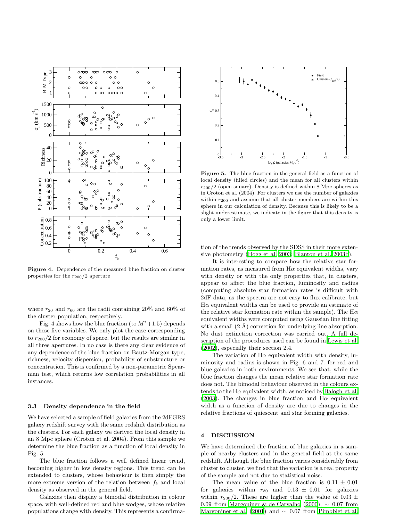

Figure 4. Dependence of the measured blue fraction on cluster properties for the  $r_{200}/2$  aperture

where  $r_{20}$  and  $r_{60}$  are the radii containing 20% and 60% of the cluster population, respectively.

Fig. 4 shows how the blue fraction (to  $M^*+1.5$ ) depends on these five variables. We only plot the case corresponding to  $r_{200}/2$  for economy of space, but the results are similar in all three apertures. In no case is there any clear evidence of any dependence of the blue fraction on Bautz-Morgan type, richness, velocity dispersion, probability of substructure or concentration. This is confirmed by a non-parametric Spearman test, which returns low correlation probabilities in all instances.

#### 3.3 Density dependence in the field

We have selected a sample of field galaxies from the 2dFGRS galaxy redshift survey with the same redshift distribution as the clusters. For each galaxy we derived the local density in an 8 Mpc sphere (Croton et al. 2004). From this sample we determine the blue fraction as a function of local density in Fig. 5.

The blue fraction follows a well defined linear trend, becoming higher in low density regions. This trend can be extended to clusters, whose behaviour is then simply the more extreme version of the relation between  $f<sub>b</sub>$  and local density as observed in the general field.

Galaxies then display a bimodal distribution in colour space, with well-defined red and blue wodges, whose relative populations change with density. This represents a confirma-



Figure 5. The blue fraction in the general field as a function of local density (filled circles) and the mean for all clusters within  $r_{200}/2$  (open square). Density is defined within 8 Mpc spheres as in Croton et al. (2004). For clusters we use the number of galaxies within  $r_{200}$  and assume that all cluster members are within this sphere in our calculation of density. Because this is likely to be a slight underestimate, we indicate in the figure that this density is only a lower limit.

tion of the trends observed by the SDSS in their more extensive photometry [\(Hogg et al. 2003](#page-8-20); [Blanton et al. 2003b](#page-8-21)).

It is interesting to compare how the relative star formation rates, as measured from  $H\alpha$  equivalent widths, vary with density or with the only properties that, in clusters, appear to affect the blue fraction, luminosity and radius (computing absolute star formation rates is difficult with 2dF data, as the spectra are not easy to flux calibrate, but  $H\alpha$  equivalent widths can be used to provide an estimate of the relative star formation rate within the sample). The  $H\alpha$ equivalent widths were computed using Gaussian line fitting with a small  $(2 \text{ Å})$  correction for underlying line absorption. No dust extinction correction was carried out. A full description of the procedures used can be found in [Lewis et al.](#page-8-10) [\(2002](#page-8-10)), especially their section 2.4.

The variation of  $H\alpha$  equivalent width with density, luminosity and radius is shown in Fig. 6 and 7. for red and blue galaxies in both environments. We see that, while the blue fraction changes the mean relative star formation rate does not. The bimodal behaviour observed in the colours extends to the  $H\alpha$  equivalent width, as noticed by [Balogh et al.](#page-7-1) [\(2003](#page-7-1)). The changes in blue fraction and  $H\alpha$  equivalent width as a function of density are due to changes in the relative fractions of quiescent and star forming galaxies.

## 4 DISCUSSION

We have determined the fraction of blue galaxies in a sample of nearby clusters and in the general field at the same redshift. Although the blue fraction varies considerably from cluster to cluster, we find that the variation is a real property of the sample and not due to statistical noise.

The mean value of the blue fraction is  $0.11 \pm 0.01$ for galaxies within  $r_{30}$  and  $0.13 \pm 0.01$  for galaxies within  $r_{200}/2$ . These are higher than the value of  $0.03 \pm$ 0.09 from [Margoniner & de Carvalho \(2000](#page-8-2)),  $\sim$  0.07 from [Margoniner et al. \(2001](#page-8-8)) and  $\sim 0.07$  from [Pimbblet et al.](#page-8-22)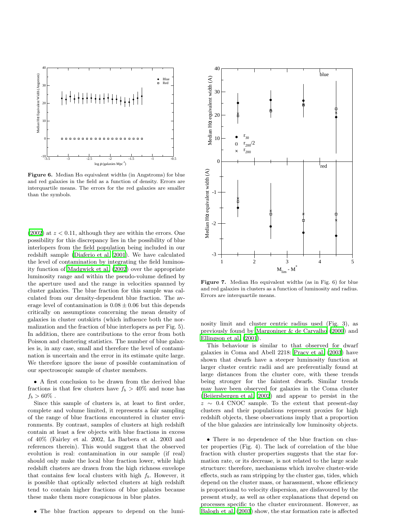

**Figure 6.** Median H $\alpha$  equivalent widths (in Angstroms) for blue and red galaxies in the field as a function of density. Errors are interquartile means. The errors for the red galaxies are smaller than the symbols.

 $(2002)$  $(2002)$  at  $z < 0.11$ , although they are within the errors. One possibility for this discrepancy lies in the possibility of blue interlopers from the field population being included in our redshift sample [\(Diaferio et al. 2001\)](#page-8-23). We have calculated the level of contamination by integrating the field luminosity function of [Madgwick et al. \(2002](#page-8-24)) over the appropriate luminosity range and within the pseudo-volume defined by the aperture used and the range in velocities spanned by cluster galaxies. The blue fraction for this sample was calculated from our density-dependent blue fraction. The average level of contamination is  $0.08 \pm 0.06$  but this depends critically on assumptions concerning the mean density of galaxies in cluster outskirts (which influence both the normalization and the fraction of blue interlopers as per Fig. 5). In addition, there are contributions to the error from both Poisson and clustering statistics. The number of blue galaxies is, in any case, small and therefore the level of contamination is uncertain and the error in its estimate quite large. We therefore ignore the issue of possible contamination of our spectroscopic sample of cluster members.

• A first conclusion to be drawn from the derived blue fractions is that few clusters have  $f_b > 40\%$  and none has  $f_b > 60\%$ .

Since this sample of clusters is, at least to first order, complete and volume limited, it represents a fair sampling of the range of blue fractions encountered in cluster environments. By contrast, samples of clusters at high redshift contain at least a few objects with blue fractions in excess of 40% (Fairley et al. 2002, La Barbera et al. 2003 and references therein). This would suggest that the observed evolution is real: contamination in our sample (if real) should only make the local blue fraction lower, while high redshift clusters are drawn from the high richness envelope that contains few local clusters with high  $f<sub>b</sub>$ . However, it is possible that optically selected clusters at high redshift tend to contain higher fractions of blue galaxies because these make them more conspicuous in blue plates.

• The blue fraction appears to depend on the lumi-



Figure 7. Median H $\alpha$  equivalent widths (as in Fig. 6) for blue and red galaxies in clusters as a function of luminosity and radius. Errors are interquartile means.

nosity limit and cluster centric radius used (Fig. 3), as previously found by [Margoniner & de Carvalho \(2000](#page-8-2)) and [Ellingson et al. \(2001\)](#page-8-7).

This behaviour is similar to that observed for dwarf galaxies in Coma and Abell 2218: [Pracy et al. \(2003\)](#page-8-25) have shown that dwarfs have a steeper luminosity function at larger cluster centric radii and are preferentially found at large distances from the cluster core, with these trends being stronger for the faintest dwarfs. Similar trends may have been observed for galaxies in the Coma cluster [\(Beijersbergen et al. 2002](#page-7-3)) and appear to persist in the  $z \sim 0.4$  CNOC sample. To the extent that present-day clusters and their populations represent proxies for high redshift objects, these observations imply that a proportion of the blue galaxies are intrinsically low luminosity objects.

• There is no dependence of the blue fraction on cluster properties (Fig. 4). The lack of correlation of the blue fraction with cluster properties suggests that the star formation rate, or its decrease, is not related to the large scale structure: therefore, mechanisms which involve cluster-wide effects, such as ram stripping by the cluster gas, tides, which depend on the cluster mass, or harassment, whose efficiency is proportional to velocity dispersion, are disfavoured by the present study, as well as other explanations that depend on processes specific to the cluster environment. However, as [Balogh et al. \(2003](#page-7-1)) show, the star formation rate is affected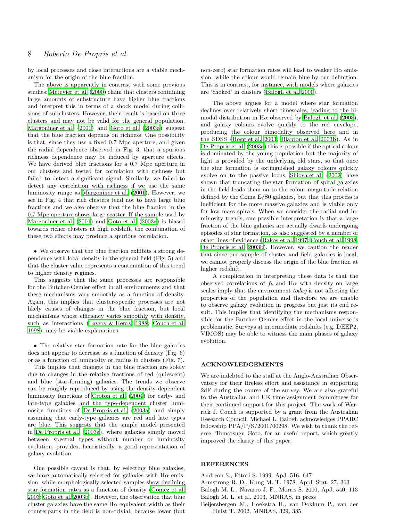by local processes and close interactions are a viable mechanism for the origin of the blue fraction.

The above is apparently in contrast with some previous studies: [Metevier et al. \(2000\)](#page-8-9) claim that clusters containing large amounts of substructure have higher blue fractions and interpret this in terms of a shock model during collisions of subclusters. However, their result is based on three clusters and may not be valid for the general population. [Margoniner et al. \(2001](#page-8-8)) and [Goto et al. \(2003a](#page-8-3)) suggest that the blue fraction depends on richness. One possibility is that, since they use a fixed 0.7 Mpc aperture, and given the radial dependence observed in Fig. 3, that a spurious richness dependence may be induced by aperture effects. We have derived blue fractions for a 0.7 Mpc aperture in our clusters and tested for correlation with richness but failed to detect a significant signal. Similarly, we failed to detect any correlation with richness if we use the same luminosity range as [Margoniner et al. \(2001\)](#page-8-8). However, we see in Fig. 4 that rich clusters tend not to have large blue fractions and we also observe that the blue fraction in the 0.7 Mpc aperture shows large scatter. If the sample used by [Margoniner et al. \(2001](#page-8-8)) and [Goto et al. \(2003a](#page-8-3)) is biased towards richer clusters at high redshift, the combination of these two effects may produce a spurious correlation.

• We observe that the blue fraction exhibits a strong dependence with local density in the general field (Fig. 5) and that the cluster value represents a continuation of this trend to higher density regimes.

This suggests that the same processes are responsible for the Butcher-Oemler effect in all environments and that these mechanisms vary smoothly as a function of density. Again, this implies that cluster-specific processes are not likely causes of changes in the blue fraction, but local mechanisms whose efficiency varies smoothly with density, such as interactions [\(Lavery & Henry 1988](#page-8-26); [Couch et al.](#page-8-27) [1998](#page-8-27)), may be viable explanations.

• The relative star formation rate for the blue galaxies does not appear to decrease as a function of density (Fig. 6) or as a function of luminosity or radius in clusters (Fig. 7).

This implies that changes in the blue fraction are solely due to changes in the relative fractions of red (quiescent) and blue (star-forming) galaxies. The trends we observe can be roughly reproduced by using the density-dependent luminosity functions of [Croton et al. \(2004](#page-8-18)) for early- and late-type galaxies and the type-dependent cluster luminosity functions of [De Propris et al. \(2003a](#page-8-12)) and simply assuming that early-type galaxies are red and late types are blue. This suggests that the simple model presented in [De Propris et al. \(2003a](#page-8-12)), where galaxies simply moved between spectral types without number or luminosity evolution, provides, heuristically, a good representation of galaxy evolution.

One possible caveat is that, by selecting blue galaxies, we have automatically selected for galaxies with  $H\alpha$  emission, while morphologically selected samples show declining star formation rates as a function of density [\(Gomez et al.](#page-8-28) [2003](#page-8-28); [Goto et al. 2003b\)](#page-8-29). However, the observation that blue cluster galaxies have the same  $H\alpha$  equivalent width as their counterparts in the field is non-trivial, because lower (but

non-zero) star formation rates will lead to weaker  $H\alpha$  emission, while the colour would remain blue by our definition. This is in contrast, for instance, with models where galaxies are 'choked' in clusters [\(Balogh et al. 2000\)](#page-7-4).

The above argues for a model where star formation declines over relatively short timescales, leading to the bimodal distribution in  $H\alpha$  observed by [Balogh et al. \(2003](#page-7-1)), and galaxy colours evolve quickly to the red envelope, producing the colour bimodality observed here and in the SDSS [\(Hogg et al. 2003](#page-8-20); [Blanton et al. 2003b\)](#page-8-21). As in [De Propris et al. \(2003a](#page-8-12)) this is possible if the optical colour is dominated by the young population but the majority of light is provided by the underlying old stars, so that once the star formation is extinguished galaxy colours quickly evolve on to the passive locus. [Shioya et al. \(2002](#page-8-30)) have shown that truncating the star formation of spiral galaxies in the field leads them on to the colour-magnitude relation defined by the Coma E/S0 galaxies, but that this process is inefficient for the more massive galaxies and is viable only for low mass spirals. When we consider the radial and luminosity trends, one possible interpretation is that a large fraction of the blue galaxies are actually dwarfs undergoing episodes of star formation, as also suggested by a number of other lines of evidence [\(Rakos et al. 1997](#page-8-31); [Couch et al. 1998](#page-8-27); [De Propris et al. 2003b](#page-8-32)). However, we caution the reader that since our sample of cluster and field galaxies is local, we cannot properly discuss the origin of the blue fraction at higher redshift.

A complication in interpreting these data is that the observed correlations of  $f_b$  and  $H\alpha$  with density on large scales imply that the environment today is not affecting the properties of the population and therefore we are unable to observe galaxy evolution in progress but just its end result. This implies that identifying the mechanisms responsible for the Butcher-Oemler effect in the local universe is problematic. Surveys at intermediate redshifts (e.g. DEEP2, VIMOS) may be able to witness the main phases of galaxy evolution.

# ACKNOWLEDGEMENTS

We are indebted to the staff at the Anglo-Australian Observatory for their tireless effort and assistance in supporting 2dF during the course of the survey. We are also grateful to the Australian and UK time assignment committees for their continued support for this project. The work of Warrick J. Couch is supported by a grant from the Australian Research Council. Michael L. Balogh acknowledges PPARC fellowship PPA/P/S/2001/00298. We wish to thank the referee, Tomotsugu Goto, for an useful report, which greatly improved the clarity of this paper.

# **REFERENCES**

- <span id="page-7-0"></span>Andreon S., Ettori S. 1999, ApJ, 516, 647
- <span id="page-7-2"></span>Armstrong R. D., Kung M. T. 1978, Appl. Stat. 27, 363
- Balogh M. L., Navarro J. F., Morris S. 2000, ApJ, 540, 113
- <span id="page-7-4"></span><span id="page-7-1"></span>Balogh M. L. et al. 2003, MNRAS, in press
- <span id="page-7-3"></span>Beijersbergen M., Hoekstra H., van Dokkum P., van der Hulst T. 2002, MNRAS, 329, 385